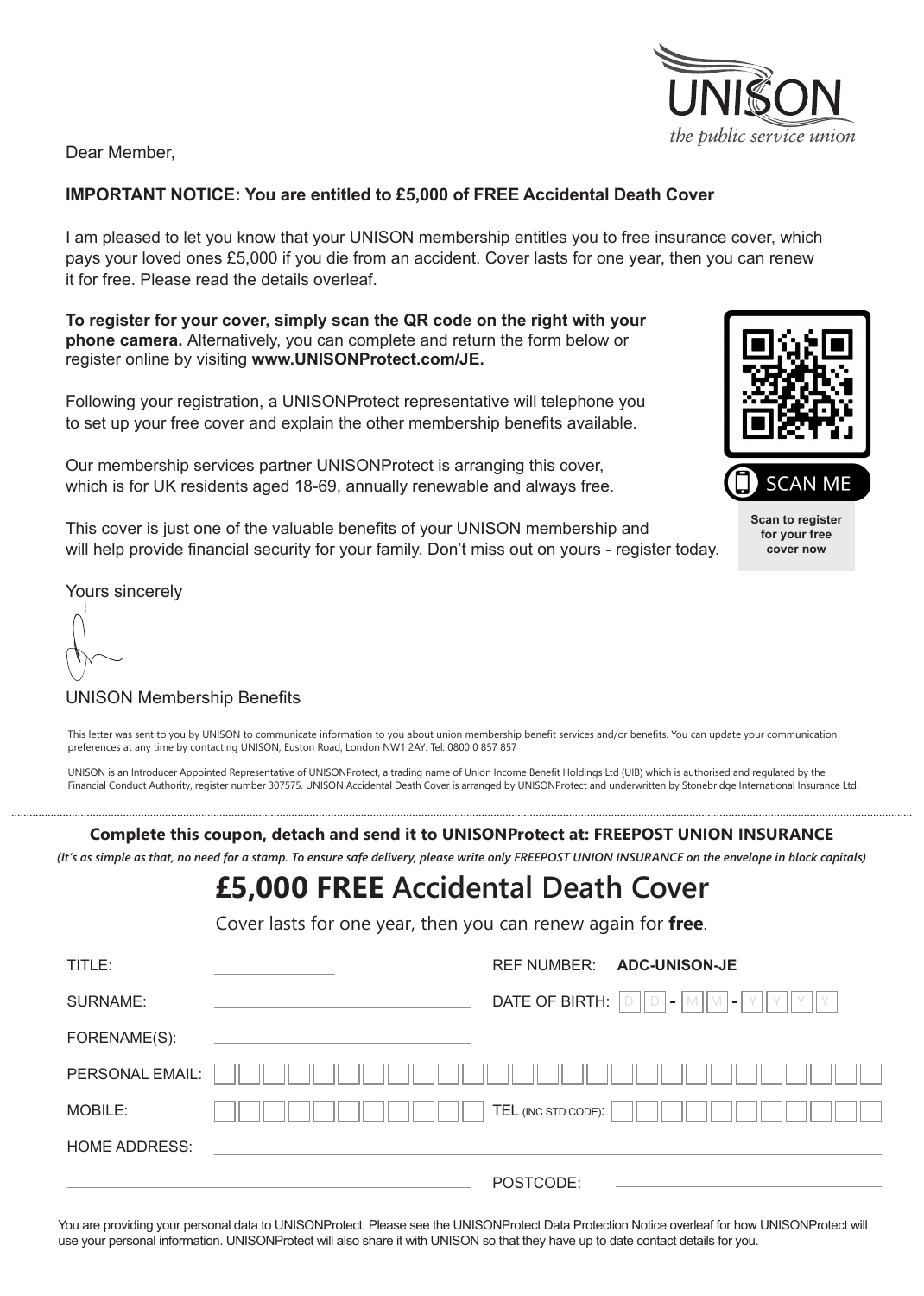Dear Member,

# **IMPORTANT NOTICE: You are entitled to £5,000 of FREE Accidental Death Cover**

I am pleased to let you know that your UNISON membership entitles you to free insurance cover, which pays your loved ones £5,000 if you die from an accident. Cover lasts for one year, then you can renew it for free. Please read the details overleaf.

**To register for your cover, simply scan the QR code on the right with your phone camera.** Alternatively, you can complete and return the form below or register online by visiting **www.UNISONProtect.com/JE.**

Following your registration, a UNISONProtect representative will telephone you to set up your free cover and explain the other membership benefits available.

Our membership services partner UNISONProtect is arranging this cover, which is for UK residents aged 18-69, annually renewable and always free.

This cover is just one of the valuable benefits of your UNISON membership and will help provide financial security for your family. Don't miss out on yours - register today.

Yours sincerely

# UNISON Membership Benefits

This letter was sent to you by UNISON to communicate information to you about union membership benefit services and/or benefits. You can update your communication preferences at any time by contacting UNISON, Euston Road, London NW1 2AY. Tel: 0800 0 857 857

UNISON is an Introducer Appointed Representative of UNISONProtect, a trading name of Union Income Benefit Holdings Ltd (UIB) which is authorised and regulated by the Financial Conduct Authority, register number 307575. UNISON Accidental Death Cover is arranged by UNISONProtect and underwritten by Stonebridge International Insurance Ltd.

**Complete this coupon, detach and send it to UNISONProtect at: FREEPOST UNION INSURANCE**

*(It's as simple as that, no need for a stamp. To ensure safe delivery, please write only FREEPOST UNION INSURANCE on the envelope in block capitals)*

# **£5,000 FREE Accidental Death Cover**

Cover lasts for one year, then you can renew again for **free**.

| TITLE:               | <b>ADC-UNISON-JE</b><br><b>REF NUMBER:</b>  |
|----------------------|---------------------------------------------|
| SURNAME:             | DATE OF BIRTH: $ D  D - M  M - Y  $<br>II Y |
| FORENAME(S):         |                                             |
| PERSONAL EMAIL:      |                                             |
| MOBILE:              | TEL (INC STD CODE):                         |
| <b>HOME ADDRESS:</b> |                                             |
|                      | POSTCODE:                                   |

You are providing your personal data to UNISONProtect. Please see the UNISONProtect Data Protection Notice overleaf for how UNISONProtect will use your personal information. UNISONProtect will also share it with UNISON so that they have up to date contact details for you.





**Scan to register for your free cover now**